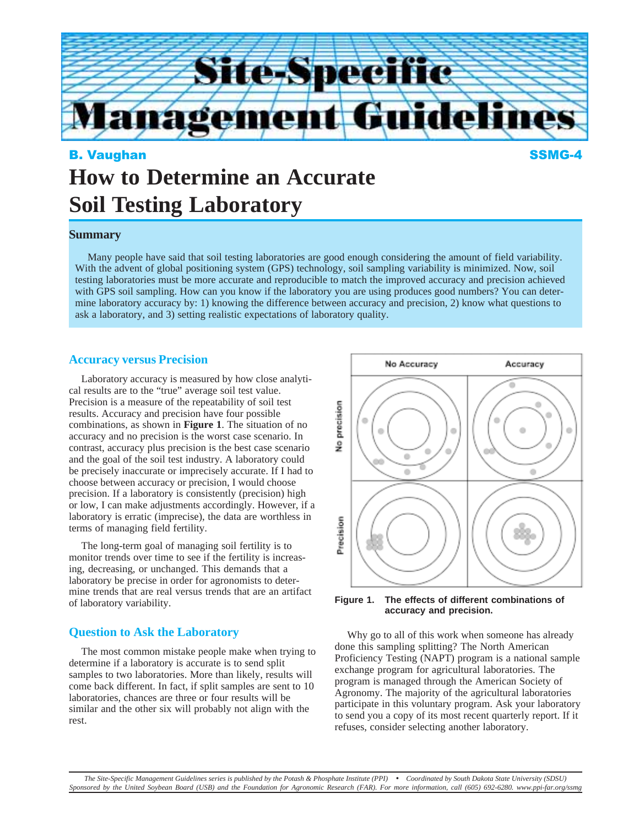

# B. Vaughan SSMG-4 **How to Determine an Accurate Soil Testing Laboratory**

# **Summary**

Many people have said that soil testing laboratories are good enough considering the amount of field variability. With the advent of global positioning system (GPS) technology, soil sampling variability is minimized. Now, soil testing laboratories must be more accurate and reproducible to match the improved accuracy and precision achieved with GPS soil sampling. How can you know if the laboratory you are using produces good numbers? You can determine laboratory accuracy by: 1) knowing the difference between accuracy and precision, 2) know what questions to ask a laboratory, and 3) setting realistic expectations of laboratory quality.

#### **Accuracy versus Precision**

Laboratory accuracy is measured by how close analytical results are to the "true" average soil test value. Precision is a measure of the repeatability of soil test results. Accuracy and precision have four possible combinations, as shown in **Figure 1**. The situation of no accuracy and no precision is the worst case scenario. In contrast, accuracy plus precision is the best case scenario and the goal of the soil test industry. A laboratory could be precisely inaccurate or imprecisely accurate. If I had to choose between accuracy or precision, I would choose precision. If a laboratory is consistently (precision) high or low, I can make adjustments accordingly. However, if a laboratory is erratic (imprecise), the data are worthless in terms of managing field fertility.

The long-term goal of managing soil fertility is to monitor trends over time to see if the fertility is increasing, decreasing, or unchanged. This demands that a laboratory be precise in order for agronomists to determine trends that are real versus trends that are an artifact of laboratory variability.

## **Question to Ask the Laboratory**

The most common mistake people make when trying to determine if a laboratory is accurate is to send split samples to two laboratories. More than likely, results will come back different. In fact, if split samples are sent to 10 laboratories, chances are three or four results will be similar and the other six will probably not align with the rest.



**Figure 1. The effects of different combinations of accuracy and precision.**

Why go to all of this work when someone has already done this sampling splitting? The North American Proficiency Testing (NAPT) program is a national sample exchange program for agricultural laboratories. The program is managed through the American Society of Agronomy. The majority of the agricultural laboratories participate in this voluntary program. Ask your laboratory to send you a copy of its most recent quarterly report. If it refuses, consider selecting another laboratory.

*The Site-Specific Management Guidelines series is published by the Potash & Phosphate Institute (PPI)* • *Coordinated by South Dakota State University (SDSU) Sponsored by the United Soybean Board (USB) and the Foundation for Agronomic Research (FAR). For more information, call (605) 692-6280. www.ppi-far.org/ssmg*